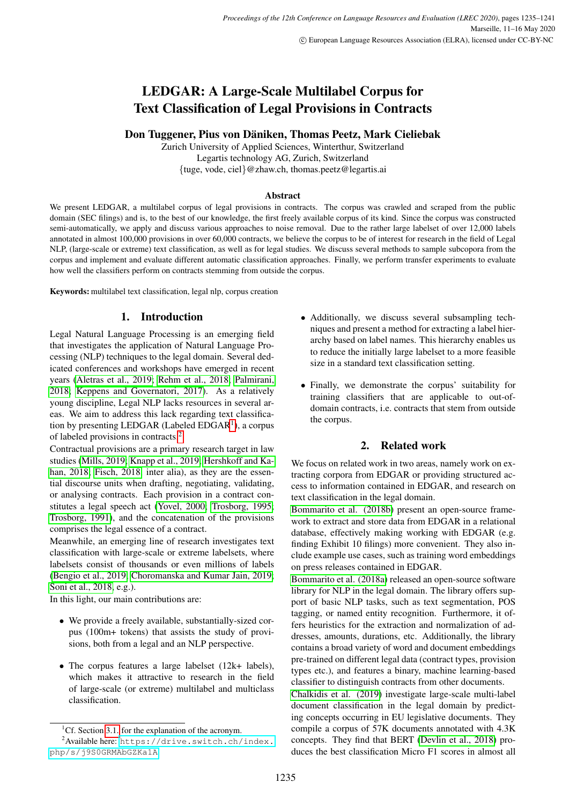# LEDGAR: A Large-Scale Multilabel Corpus for Text Classification of Legal Provisions in Contracts

## Don Tuggener, Pius von Däniken, Thomas Peetz, Mark Cieliebak

Zurich University of Applied Sciences, Winterthur, Switzerland Legartis technology AG, Zurich, Switzerland {tuge, vode, ciel}@zhaw.ch, thomas.peetz@legartis.ai

## Abstract

We present LEDGAR, a multilabel corpus of legal provisions in contracts. The corpus was crawled and scraped from the public domain (SEC filings) and is, to the best of our knowledge, the first freely available corpus of its kind. Since the corpus was constructed semi-automatically, we apply and discuss various approaches to noise removal. Due to the rather large labelset of over 12,000 labels annotated in almost 100,000 provisions in over 60,000 contracts, we believe the corpus to be of interest for research in the field of Legal NLP, (large-scale or extreme) text classification, as well as for legal studies. We discuss several methods to sample subcopora from the corpus and implement and evaluate different automatic classification approaches. Finally, we perform transfer experiments to evaluate how well the classifiers perform on contracts stemming from outside the corpus.

Keywords: multilabel text classification, legal nlp, corpus creation

## 1. Introduction

Legal Natural Language Processing is an emerging field that investigates the application of Natural Language Processing (NLP) techniques to the legal domain. Several dedicated conferences and workshops have emerged in recent years [\(Aletras et al., 2019;](#page-6-0) [Rehm et al., 2018;](#page-6-1) [Palmirani,](#page-6-2) [2018;](#page-6-2) [Keppens and Governatori, 2017\)](#page-6-3). As a relatively young discipline, Legal NLP lacks resources in several areas. We aim to address this lack regarding text classifica-tion by presenting LEDGAR (Labeled EDGAR<sup>[1](#page-0-0)</sup>), a corpus of labeled provisions in contracts.[2](#page-0-1)

Contractual provisions are a primary research target in law studies [\(Mills, 2019;](#page-6-4) [Knapp et al., 2019;](#page-6-5) [Hershkoff and Ka](#page-6-6)[han, 2018;](#page-6-6) [Fisch, 2018,](#page-6-7) inter alia), as they are the essential discourse units when drafting, negotiating, validating, or analysing contracts. Each provision in a contract constitutes a legal speech act [\(Yovel, 2000;](#page-6-8) [Trosborg, 1995;](#page-6-9) [Trosborg, 1991\)](#page-6-10), and the concatenation of the provisions comprises the legal essence of a contract.

Meanwhile, an emerging line of research investigates text classification with large-scale or extreme labelsets, where labelsets consist of thousands or even millions of labels [\(Bengio et al., 2019;](#page-6-11) [Choromanska and Kumar Jain, 2019;](#page-6-12) [Soni et al., 2018,](#page-6-13) e.g.).

In this light, our main contributions are:

- We provide a freely available, substantially-sized corpus (100m+ tokens) that assists the study of provisions, both from a legal and an NLP perspective.
- The corpus features a large labelset (12k+ labels), which makes it attractive to research in the field of large-scale (or extreme) multilabel and multiclass classification.
- Additionally, we discuss several subsampling techniques and present a method for extracting a label hierarchy based on label names. This hierarchy enables us to reduce the initially large labelset to a more feasible size in a standard text classification setting.
- Finally, we demonstrate the corpus' suitability for training classifiers that are applicable to out-ofdomain contracts, i.e. contracts that stem from outside the corpus.

## 2. Related work

We focus on related work in two areas, namely work on extracting corpora from EDGAR or providing structured access to information contained in EDGAR, and research on text classification in the legal domain.

[Bommarito et al. \(2018b\)](#page-6-14) present an open-source framework to extract and store data from EDGAR in a relational database, effectively making working with EDGAR (e.g. finding Exhibit 10 filings) more convenient. They also include example use cases, such as training word embeddings on press releases contained in EDGAR.

[Bommarito et al. \(2018a\)](#page-6-15) released an open-source software library for NLP in the legal domain. The library offers support of basic NLP tasks, such as text segmentation, POS tagging, or named entity recognition. Furthermore, it offers heuristics for the extraction and normalization of addresses, amounts, durations, etc. Additionally, the library contains a broad variety of word and document embeddings pre-trained on different legal data (contract types, provision types etc.), and features a binary, machine learning-based classifier to distinguish contracts from other documents.

[Chalkidis et al. \(2019\)](#page-6-16) investigate large-scale multi-label document classification in the legal domain by predicting concepts occurring in EU legislative documents. They compile a corpus of 57K documents annotated with 4.3K concepts. They find that BERT [\(Devlin et al., 2018\)](#page-6-17) produces the best classification Micro F1 scores in almost all

<span id="page-0-1"></span><span id="page-0-0"></span><sup>&</sup>lt;sup>1</sup>Cf. Section [3.1.](#page-1-0) for the explanation of the acronym.

<sup>2</sup>Available here: [https://drive.switch.ch/index.](https://drive.switch.ch/index.php/s/j9S0GRMAbGZKa1A) [php/s/j9S0GRMAbGZKa1A](https://drive.switch.ch/index.php/s/j9S0GRMAbGZKa1A)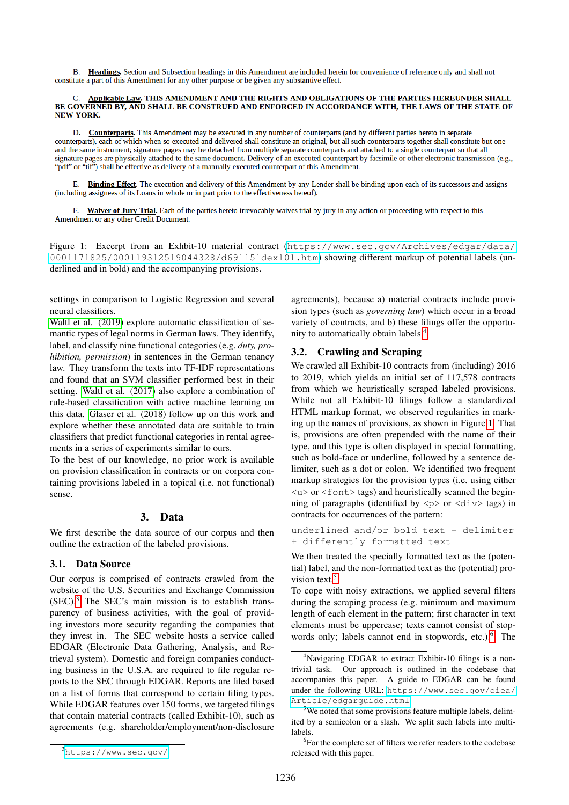B. Headings. Section and Subsection headings in this Amendment are included herein for convenience of reference only and shall not constitute a part of this Amendment for any other purpose or be given any substantive effect.

#### Applicable Law. THIS AMENDMENT AND THE RIGHTS AND OBLIGATIONS OF THE PARTIES HEREUNDER SHALL BE GOVERNED BY, AND SHALL BE CONSTRUED AND ENFORCED IN ACCORDANCE WITH, THE LAWS OF THE STATE OF **NEW YORK.**

D. Counterparts. This Amendment may be executed in any number of counterparts (and by different parties hereto in separate counterparts), each of which when so executed and delivered shall constitute an original, but all such counterparts together shall constitute but one and the same instrument; signature pages may be detached from multiple separate counterparts and attached to a single counterpart so that all signature pages are physically attached to the same document. Delivery of an executed counterpart by facsimile or other electronic transmission (e.g., "pdf" or "tif") shall be effective as delivery of a manually executed counterpart of this Amendment.

E. Binding Effect. The execution and delivery of this Amendment by any Lender shall be binding upon each of its successors and assigns (including assignees of its Loans in whole or in part prior to the effectiveness hereof).

F. Waiver of Jury Trial. Each of the parties hereto irrevocably waives trial by jury in any action or proceeding with respect to this Amendment or any other Credit Document

<span id="page-1-3"></span>Figure 1: Excerpt from an Exhbit-10 material contract ([https://www.sec.gov/Archives/edgar/data/](https://www.sec.gov/Archives/edgar/data/0001171825/000119312519044328/d691151dex101.htm) [0001171825/000119312519044328/d691151dex101.htm](https://www.sec.gov/Archives/edgar/data/0001171825/000119312519044328/d691151dex101.htm)) showing different markup of potential labels (underlined and in bold) and the accompanying provisions.

settings in comparison to Logistic Regression and several neural classifiers.

[Waltl et al. \(2019\)](#page-6-18) explore automatic classification of semantic types of legal norms in German laws. They identify, label, and classify nine functional categories (e.g. *duty, prohibition, permission*) in sentences in the German tenancy law. They transform the texts into TF-IDF representations and found that an SVM classifier performed best in their setting. [Waltl et al. \(2017\)](#page-6-19) also explore a combination of rule-based classification with active machine learning on this data. [Glaser et al. \(2018\)](#page-6-20) follow up on this work and explore whether these annotated data are suitable to train classifiers that predict functional categories in rental agreements in a series of experiments similar to ours.

To the best of our knowledge, no prior work is available on provision classification in contracts or on corpora containing provisions labeled in a topical (i.e. not functional) sense.

## 3. Data

We first describe the data source of our corpus and then outline the extraction of the labeled provisions.

## <span id="page-1-0"></span>3.1. Data Source

Our corpus is comprised of contracts crawled from the website of the U.S. Securities and Exchange Commission  $(SEC).<sup>3</sup>$  $(SEC).<sup>3</sup>$  $(SEC).<sup>3</sup>$  The SEC's main mission is to establish transparency of business activities, with the goal of providing investors more security regarding the companies that they invest in. The SEC website hosts a service called EDGAR (Electronic Data Gathering, Analysis, and Retrieval system). Domestic and foreign companies conducting business in the U.S.A. are required to file regular reports to the SEC through EDGAR. Reports are filed based on a list of forms that correspond to certain filing types. While EDGAR features over 150 forms, we targeted filings that contain material contracts (called Exhibit-10), such as agreements (e.g. shareholder/employment/non-disclosure agreements), because a) material contracts include provision types (such as *governing law*) which occur in a broad variety of contracts, and b) these filings offer the opportunity to automatically obtain labels.[4](#page-1-2)

## 3.2. Crawling and Scraping

We crawled all Exhibit-10 contracts from (including) 2016 to 2019, which yields an initial set of 117,578 contracts from which we heuristically scraped labeled provisions. While not all Exhibit-10 filings follow a standardized HTML markup format, we observed regularities in marking up the names of provisions, as shown in Figure [1.](#page-1-3) That is, provisions are often prepended with the name of their type, and this type is often displayed in special formatting, such as bold-face or underline, followed by a sentence delimiter, such as a dot or colon. We identified two frequent markup strategies for the provision types (i.e. using either  $\langle u \rangle$  or  $\langle$  font  $\rangle$  tags) and heuristically scanned the beginning of paragraphs (identified by  $\langle p \rangle$  or  $\langle \text{div} \rangle$  tags) in contracts for occurrences of the pattern:

underlined and/or bold text + delimiter + differently formatted text

We then treated the specially formatted text as the (potential) label, and the non-formatted text as the (potential) pro-vision text.<sup>[5](#page-1-4)</sup>

To cope with noisy extractions, we applied several filters during the scraping process (e.g. minimum and maximum length of each element in the pattern; first character in text elements must be uppercase; texts cannot consist of stopwords only; labels cannot end in stopwords, etc.). $6$  The

<span id="page-1-1"></span><sup>3</sup><https://www.sec.gov/>

<span id="page-1-2"></span><sup>4</sup>Navigating EDGAR to extract Exhibit-10 filings is a nontrivial task. Our approach is outlined in the codebase that accompanies this paper. A guide to EDGAR can be found under the following URL: [https://www.sec.gov/oiea/](https://www.sec.gov/oiea/Article/edgarguide.html) [Article/edgarguide.html](https://www.sec.gov/oiea/Article/edgarguide.html).

<span id="page-1-4"></span><sup>&</sup>lt;sup>5</sup>We noted that some provisions feature multiple labels, delimited by a semicolon or a slash. We split such labels into multilabels.

<span id="page-1-5"></span><sup>6</sup> For the complete set of filters we refer readers to the codebase released with this paper.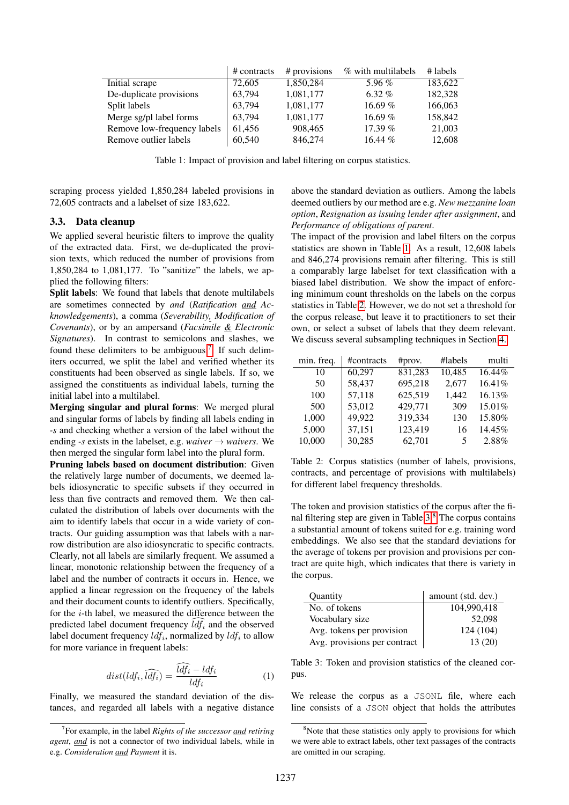|                             | # contracts | # provisions | % with multilabels | $#$ labels |
|-----------------------------|-------------|--------------|--------------------|------------|
| Initial scrape              | 72,605      | 1,850,284    | 5.96 $%$           | 183,622    |
| De-duplicate provisions     | 63,794      | 1,081,177    | 6.32 $%$           | 182,328    |
| Split labels                | 63,794      | 1,081,177    | 16.69%             | 166,063    |
| Merge sg/pl label forms     | 63,794      | 1,081,177    | 16.69%             | 158,842    |
| Remove low-frequency labels | 61,456      | 908,465      | 17.39%             | 21,003     |
| Remove outlier labels       | 60,540      | 846,274      | 16.44 $%$          | 12,608     |

<span id="page-2-1"></span>Table 1: Impact of provision and label filtering on corpus statistics.

scraping process yielded 1,850,284 labeled provisions in 72,605 contracts and a labelset of size 183,622.

#### 3.3. Data cleanup

We applied several heuristic filters to improve the quality of the extracted data. First, we de-duplicated the provision texts, which reduced the number of provisions from 1,850,284 to 1,081,177. To "sanitize" the labels, we applied the following filters:

Split labels: We found that labels that denote multilabels are sometimes connected by *and* (*Ratification and Acknowledgements*), a comma (*Severability, Modification of Covenants*), or by an ampersand (*Facsimile & Electronic Signatures*). In contrast to semicolons and slashes, we found these delimiters to be ambiguous.<sup>[7](#page-2-0)</sup> If such delimiters occurred, we split the label and verified whether its constituents had been observed as single labels. If so, we assigned the constituents as individual labels, turning the initial label into a multilabel.

Merging singular and plural forms: We merged plural and singular forms of labels by finding all labels ending in *-s* and checking whether a version of the label without the ending *-s* exists in the labelset, e.g. *waiver*  $\rightarrow$  *waivers*. We then merged the singular form label into the plural form.

Pruning labels based on document distribution: Given the relatively large number of documents, we deemed labels idiosyncratic to specific subsets if they occurred in less than five contracts and removed them. We then calculated the distribution of labels over documents with the aim to identify labels that occur in a wide variety of contracts. Our guiding assumption was that labels with a narrow distribution are also idiosyncratic to specific contracts. Clearly, not all labels are similarly frequent. We assumed a linear, monotonic relationship between the frequency of a label and the number of contracts it occurs in. Hence, we applied a linear regression on the frequency of the labels and their document counts to identify outliers. Specifically, for the i-th label, we measured the difference between the predicted label document frequency  $\bar{l}d\bar{f}_i$  and the observed label document frequency  $ldf_i$ , normalized by  $ldf_i$  to allow for more variance in frequent labels:

$$
dist(ldf_i, \widehat{ldf_i}) = \frac{\widehat{ldf_i} - ldf_i}{ldf_i} \tag{1}
$$

Finally, we measured the standard deviation of the distances, and regarded all labels with a negative distance above the standard deviation as outliers. Among the labels deemed outliers by our method are e.g. *New mezzanine loan option*, *Resignation as issuing lender after assignment*, and *Performance of obligations of parent*.

The impact of the provision and label filters on the corpus statistics are shown in Table [1.](#page-2-1) As a result, 12,608 labels and 846,274 provisions remain after filtering. This is still a comparably large labelset for text classification with a biased label distribution. We show the impact of enforcing minimum count thresholds on the labels on the corpus statistics in Table [2.](#page-2-2) However, we do not set a threshold for the corpus release, but leave it to practitioners to set their own, or select a subset of labels that they deem relevant. We discuss several subsampling techniques in Section [4.](#page-3-0)

| min. freq. | #contracts | #prov.  | #labels | multi  |
|------------|------------|---------|---------|--------|
| 10         | 60,297     | 831,283 | 10,485  | 16.44% |
| 50         | 58,437     | 695,218 | 2,677   | 16.41% |
| 100        | 57,118     | 625,519 | 1,442   | 16.13% |
| 500        | 53,012     | 429,771 | 309     | 15.01% |
| 1,000      | 49,922     | 319,334 | 130     | 15.80% |
| 5,000      | 37,151     | 123,419 | 16      | 14.45% |
| 10,000     | 30,285     | 62,701  | 5       | 2.88%  |

<span id="page-2-2"></span>Table 2: Corpus statistics (number of labels, provisions, contracts, and percentage of provisions with multilabels) for different label frequency thresholds.

The token and provision statistics of the corpus after the final filtering step are given in Table  $3<sup>8</sup>$  $3<sup>8</sup>$  $3<sup>8</sup>$ . The corpus contains a substantial amount of tokens suited for e.g. training word embeddings. We also see that the standard deviations for the average of tokens per provision and provisions per contract are quite high, which indicates that there is variety in the corpus.

| Quantity                     | amount (std. dev.) |
|------------------------------|--------------------|
| No. of tokens                | 104,990,418        |
| Vocabulary size              | 52,098             |
| Avg. tokens per provision    | 124 (104)          |
| Avg. provisions per contract | 13 (20)            |

<span id="page-2-3"></span>Table 3: Token and provision statistics of the cleaned corpus.

We release the corpus as a JSONL file, where each line consists of a JSON object that holds the attributes

<span id="page-2-0"></span><sup>7</sup> For example, in the label *Rights of the successor and retiring agent*, *and* is not a connector of two individual labels, while in e.g. *Consideration and Payment* it is.

<span id="page-2-4"></span><sup>&</sup>lt;sup>8</sup>Note that these statistics only apply to provisions for which we were able to extract labels, other text passages of the contracts are omitted in our scraping.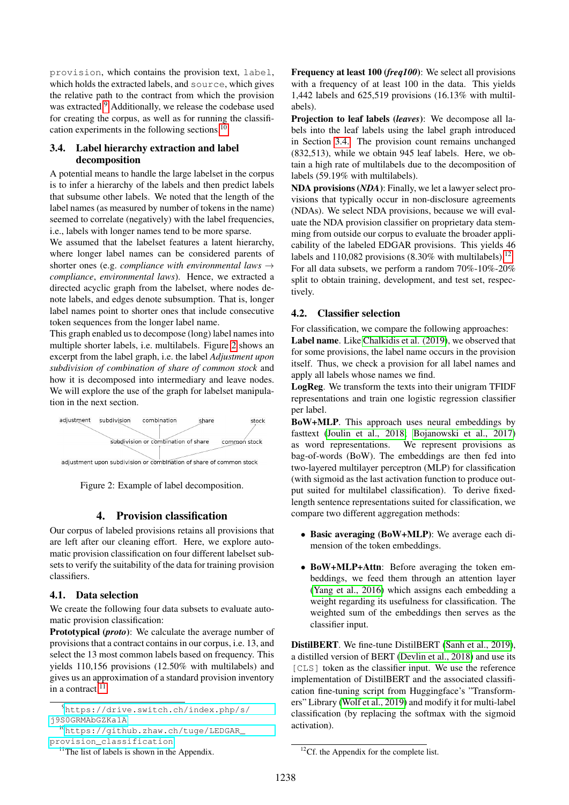provision, which contains the provision text, label, which holds the extracted labels, and source, which gives the relative path to the contract from which the provision was extracted.<sup>[9](#page-3-1)</sup> Additionally, we release the codebase used for creating the corpus, as well as for running the classifi-cation experiments in the following sections.<sup>[10](#page-3-2)</sup>

## <span id="page-3-5"></span>3.4. Label hierarchy extraction and label decomposition

A potential means to handle the large labelset in the corpus is to infer a hierarchy of the labels and then predict labels that subsume other labels. We noted that the length of the label names (as measured by number of tokens in the name) seemed to correlate (negatively) with the label frequencies, i.e., labels with longer names tend to be more sparse.

We assumed that the labelset features a latent hierarchy, where longer label names can be considered parents of shorter ones (e.g. *compliance with environmental laws* → *compliance*, *environmental laws*). Hence, we extracted a directed acyclic graph from the labelset, where nodes denote labels, and edges denote subsumption. That is, longer label names point to shorter ones that include consecutive token sequences from the longer label name.

This graph enabled us to decompose (long) label names into multiple shorter labels, i.e. multilabels. Figure [2](#page-3-3) shows an excerpt from the label graph, i.e. the label *Adjustment upon subdivision of combination of share of common stock* and how it is decomposed into intermediary and leave nodes. We will explore the use of the graph for labelset manipulation in the next section.



<span id="page-3-3"></span>Figure 2: Example of label decomposition.

## 4. Provision classification

<span id="page-3-0"></span>Our corpus of labeled provisions retains all provisions that are left after our cleaning effort. Here, we explore automatic provision classification on four different labelset subsets to verify the suitability of the data for training provision classifiers.

#### 4.1. Data selection

We create the following four data subsets to evaluate automatic provision classification:

Prototypical (*proto*): We calculate the average number of provisions that a contract contains in our corpus, i.e. 13, and select the 13 most common labels based on frequency. This yields 110,156 provisions (12.50% with multilabels) and gives us an approximation of a standard provision inventory in a contract. $11$ 

<span id="page-3-2"></span><sup>10</sup>[https://github.zhaw.ch/tuge/LEDGAR\\_](https://github.zhaw.ch/tuge/LEDGAR_provision_classification) [provision\\_classification](https://github.zhaw.ch/tuge/LEDGAR_provision_classification)

<span id="page-3-4"></span> $<sup>11</sup>$ The list of labels is shown in the Appendix.</sup>

Frequency at least 100 (*freq100*): We select all provisions with a frequency of at least 100 in the data. This yields 1,442 labels and 625,519 provisions (16.13% with multilabels).

Projection to leaf labels (*leaves*): We decompose all labels into the leaf labels using the label graph introduced in Section [3.4.](#page-3-5) The provision count remains unchanged (832,513), while we obtain 945 leaf labels. Here, we obtain a high rate of multilabels due to the decomposition of labels (59.19% with multilabels).

NDA provisions (*NDA*): Finally, we let a lawyer select provisions that typically occur in non-disclosure agreements (NDAs). We select NDA provisions, because we will evaluate the NDA provision classifier on proprietary data stemming from outside our corpus to evaluate the broader applicability of the labeled EDGAR provisions. This yields 46 labels and 110,082 provisions  $(8.30\%$  with multilabels).<sup>[12](#page-3-6)</sup> For all data subsets, we perform a random 70%-10%-20% split to obtain training, development, and test set, respectively.

#### 4.2. Classifier selection

For classification, we compare the following approaches: Label name. Like [Chalkidis et al. \(2019\)](#page-6-16), we observed that for some provisions, the label name occurs in the provision itself. Thus, we check a provision for all label names and apply all labels whose names we find.

LogReg. We transform the texts into their unigram TFIDF representations and train one logistic regression classifier per label.

BoW+MLP. This approach uses neural embeddings by fasttext [\(Joulin et al., 2018;](#page-6-21) [Bojanowski et al., 2017\)](#page-6-22) as word representations. We represent provisions as bag-of-words (BoW). The embeddings are then fed into two-layered multilayer perceptron (MLP) for classification (with sigmoid as the last activation function to produce output suited for multilabel classification). To derive fixedlength sentence representations suited for classification, we compare two different aggregation methods:

- Basic averaging (BoW+MLP): We average each dimension of the token embeddings.
- BoW+MLP+Attn: Before averaging the token embeddings, we feed them through an attention layer [\(Yang et al., 2016\)](#page-6-23) which assigns each embedding a weight regarding its usefulness for classification. The weighted sum of the embeddings then serves as the classifier input.

DistilBERT. We fine-tune DistilBERT [\(Sanh et al., 2019\)](#page-6-24), a distilled version of BERT [\(Devlin et al., 2018\)](#page-6-17) and use its [CLS] token as the classifier input. We use the reference implementation of DistilBERT and the associated classification fine-tuning script from Huggingface's "Transformers" Library [\(Wolf et al., 2019\)](#page-6-25) and modify it for multi-label classification (by replacing the softmax with the sigmoid activation).

<span id="page-3-1"></span><sup>9</sup>[https://drive.switch.ch/index.php/s/](https://drive.switch.ch/index.php/s/j9S0GRMAbGZKa1A) [j9S0GRMAbGZKa1A](https://drive.switch.ch/index.php/s/j9S0GRMAbGZKa1A)

<span id="page-3-6"></span> ${}^{12}$ Cf. the Appendix for the complete list.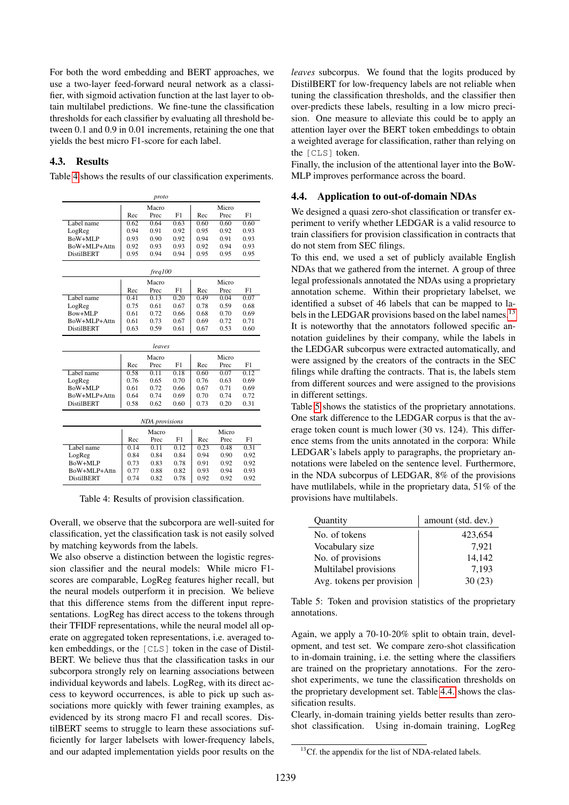For both the word embedding and BERT approaches, we use a two-layer feed-forward neural network as a classifier, with sigmoid activation function at the last layer to obtain multilabel predictions. We fine-tune the classification thresholds for each classifier by evaluating all threshold between 0.1 and 0.9 in 0.01 increments, retaining the one that yields the best micro F1-score for each label.

#### 4.3. Results

Table [4](#page-4-0) shows the results of our classification experiments.

| proto                             |              |                       |              |              |              |              |  |
|-----------------------------------|--------------|-----------------------|--------------|--------------|--------------|--------------|--|
|                                   |              | Macro                 |              | Micro        |              |              |  |
|                                   | Rec          | Prec                  | F1           | Rec          | Prec         | F1           |  |
| Label name                        | 0.62         | 0.64                  | 0.63         | 0.60         | 0.60         | 0.60         |  |
| LogReg                            | 0.94         | 0.91                  | 0.92         | 0.95         | 0.92         | 0.93         |  |
| BoW+MLP                           | 0.93         | 0.90                  | 0.92         | 0.94         | 0.91         | 0.93         |  |
| BoW+MLP+Attn                      | 0.92         | 0.93                  | 0.93         | 0.92         | 0.94         | 0.93         |  |
| <b>DistilBERT</b>                 | 0.95         | 0.94                  | 0.94         | 0.95         | 0.95         | 0.95         |  |
| freq100                           |              |                       |              |              |              |              |  |
|                                   | Macro        |                       |              | Micro        |              |              |  |
|                                   | Rec          | Prec                  | F1           | Rec          | Prec         | F1           |  |
| Label name                        | 0.41         | 0.13                  | 0.20         | 0.49         | 0.04         | 0.07         |  |
| LogReg                            | 0.75         | 0.61                  | 0.67         | 0.78         | 0.59         | 0.68         |  |
| $Bow+MI.P$                        | 0.61         | 0.72                  | 0.66         | 0.68         | 0.70         | 0.69         |  |
| BoW+MLP+Attn                      | 0.61         | 0.73                  | 0.67         | 0.69         | 0.72         | 0.71         |  |
| <b>DistilBERT</b>                 | 0.63         | 0.59                  | 0.61         | 0.67         | 0.53         | 0.60         |  |
| leaves                            |              |                       |              |              |              |              |  |
|                                   |              |                       |              |              |              |              |  |
|                                   |              | Macro                 |              |              | Micro        |              |  |
|                                   | Rec          | Prec                  | F1           | Rec          | Prec         | F1           |  |
| Label name                        | 0.58         | 0.11                  | 0.18         | 0.60         | 0.07         | 0.12         |  |
| LogReg                            | 0.76         | 0.65                  | 0.70         | 0.76         | 0.63         | 0.69         |  |
| BoW+MLP                           | 0.61         | 0.72                  | 0.66         | 0.67         | 0.71         | 0.69         |  |
| BoW+MLP+Attn                      | 0.64         | 0.74                  | 0.69         | 0.70         | 0.74         | 0.72         |  |
| <b>DistilBERT</b>                 | 0.58         | 0.62                  | 0.60         | 0.73         | 0.20         | 0.31         |  |
|                                   |              | <b>NDA</b> provisions |              |              |              |              |  |
|                                   |              | Macro                 |              |              | Micro        |              |  |
|                                   | Rec          | Prec                  | F1           | Rec          | Prec         | F1           |  |
| Label name                        | 0.14         | 0.11                  | 0.12         | 0.23         | 0.48         | 0.31         |  |
| LogReg                            | 0.84         | 0.84                  | 0.84         | 0.94         | 0.90         | 0.92         |  |
| BoW+MLP                           | 0.73         | 0.83                  | 0.78         | 0.91         | 0.92         | 0.92         |  |
| BoW+MLP+Attn<br><b>DistilBERT</b> | 0.77<br>0.74 | 0.88<br>0.82          | 0.82<br>0.78 | 0.93<br>0.92 | 0.94<br>0.92 | 0.93<br>0.92 |  |

<span id="page-4-0"></span>Table 4: Results of provision classification.

Overall, we observe that the subcorpora are well-suited for classification, yet the classification task is not easily solved by matching keywords from the labels.

We also observe a distinction between the logistic regression classifier and the neural models: While micro F1 scores are comparable, LogReg features higher recall, but the neural models outperform it in precision. We believe that this difference stems from the different input representations. LogReg has direct access to the tokens through their TFIDF representations, while the neural model all operate on aggregated token representations, i.e. averaged token embeddings, or the [CLS] token in the case of Distil-BERT. We believe thus that the classification tasks in our subcorpora strongly rely on learning associations between individual keywords and labels. LogReg, with its direct access to keyword occurrences, is able to pick up such associations more quickly with fewer training examples, as evidenced by its strong macro F1 and recall scores. DistilBERT seems to struggle to learn these associations sufficiently for larger labelsets with lower-frequency labels, and our adapted implementation yields poor results on the *leaves* subcorpus. We found that the logits produced by DistilBERT for low-frequency labels are not reliable when tuning the classification thresholds, and the classifier then over-predicts these labels, resulting in a low micro precision. One measure to alleviate this could be to apply an attention layer over the BERT token embeddings to obtain a weighted average for classification, rather than relying on the [CLS] token.

Finally, the inclusion of the attentional layer into the BoW-MLP improves performance across the board.

#### 4.4. Application to out-of-domain NDAs

We designed a quasi zero-shot classification or transfer experiment to verify whether LEDGAR is a valid resource to train classifiers for provision classification in contracts that do not stem from SEC filings.

To this end, we used a set of publicly available English NDAs that we gathered from the internet. A group of three legal professionals annotated the NDAs using a proprietary annotation scheme. Within their proprietary labelset, we identified a subset of 46 labels that can be mapped to la-bels in the LEDGAR provisions based on the label names.<sup>[13](#page-4-1)</sup> It is noteworthy that the annotators followed specific annotation guidelines by their company, while the labels in the LEDGAR subcorpus were extracted automatically, and were assigned by the creators of the contracts in the SEC filings while drafting the contracts. That is, the labels stem from different sources and were assigned to the provisions in different settings.

Table [5](#page-4-2) shows the statistics of the proprietary annotations. One stark difference to the LEDGAR corpus is that the average token count is much lower (30 vs. 124). This difference stems from the units annotated in the corpora: While LEDGAR's labels apply to paragraphs, the proprietary annotations were labeled on the sentence level. Furthermore, in the NDA subcorpus of LEDGAR, 8% of the provisions have mutlilabels, while in the proprietary data, 51% of the provisions have multilabels.

| Quantity                  | amount (std. dev.) |
|---------------------------|--------------------|
| No. of tokens             | 423,654            |
| Vocabulary size           | 7.921              |
| No. of provisions         | 14,142             |
| Multilabel provisions     | 7,193              |
| Avg. tokens per provision | 30(23)             |

<span id="page-4-2"></span>Table 5: Token and provision statistics of the proprietary annotations.

Again, we apply a 70-10-20% split to obtain train, development, and test set. We compare zero-shot classification to in-domain training, i.e. the setting where the classifiers are trained on the proprietary annotations. For the zeroshot experiments, we tune the classification thresholds on the proprietary development set. Table [4.4.](#page-4-2) shows the classification results.

Clearly, in-domain training yields better results than zeroshot classification. Using in-domain training, LogReg

<span id="page-4-1"></span><sup>&</sup>lt;sup>13</sup>Cf. the appendix for the list of NDA-related labels.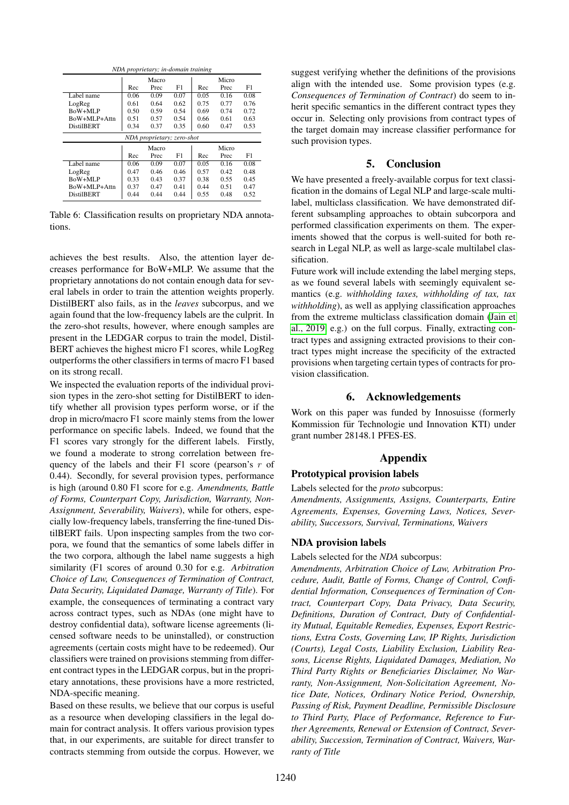| NDA proprietary; in-domain training |       |       |      |       |       |      |  |
|-------------------------------------|-------|-------|------|-------|-------|------|--|
|                                     |       | Macro |      |       | Micro |      |  |
|                                     | Rec   | Prec  | F1   | Rec   | Prec  | F1   |  |
| Label name                          | 0.06  | 0.09  | 0.07 | 0.05  | 0.16  | 0.08 |  |
| LogReg                              | 0.61  | 0.64  | 0.62 | 0.75  | 0.77  | 0.76 |  |
| BoW+MLP                             | 0.50  | 0.59  | 0.54 | 0.69  | 0.74  | 0.72 |  |
| BoW+MLP+Attn                        | 0.51  | 0.57  | 0.54 | 0.66  | 0.61  | 0.63 |  |
| <b>DistilBERT</b>                   | 0.34  | 0.37  | 0.35 | 0.60  | 0.47  | 0.53 |  |
| NDA proprietary; zero-shot          |       |       |      |       |       |      |  |
|                                     | Macro |       |      | Micro |       |      |  |
|                                     | Rec   | Prec  | F1   | Rec   | Prec  | F1   |  |
| Label name                          | 0.06  | 0.09  | 0.07 | 0.05  | 0.16  | 0.08 |  |
| LogReg                              | 0.47  | 0.46  | 0.46 | 0.57  | 0.42  | 0.48 |  |
| BoW+MLP                             | 0.33  | 0.43  | 0.37 | 0.38  | 0.55  | 0.45 |  |
| BoW+MLP+Attn                        | 0.37  | 0.47  | 0.41 | 0.44  | 0.51  | 0.47 |  |
| <b>DistilBERT</b>                   | 0.44  | 0.44  | 0.44 | 0.55  | 0.48  | 0.52 |  |

Table 6: Classification results on proprietary NDA annotations.

achieves the best results. Also, the attention layer decreases performance for BoW+MLP. We assume that the proprietary annotations do not contain enough data for several labels in order to train the attention weights properly. DistilBERT also fails, as in the *leaves* subcorpus, and we again found that the low-frequency labels are the culprit. In the zero-shot results, however, where enough samples are present in the LEDGAR corpus to train the model, Distil-BERT achieves the highest micro F1 scores, while LogReg outperforms the other classifiers in terms of macro F1 based on its strong recall.

We inspected the evaluation reports of the individual provision types in the zero-shot setting for DistilBERT to identify whether all provision types perform worse, or if the drop in micro/macro F1 score mainly stems from the lower performance on specific labels. Indeed, we found that the F1 scores vary strongly for the different labels. Firstly, we found a moderate to strong correlation between frequency of the labels and their  $F1$  score (pearson's r of 0.44). Secondly, for several provision types, performance is high (around 0.80 F1 score for e.g. *Amendments, Battle of Forms, Counterpart Copy, Jurisdiction, Warranty, Non-Assignment, Severability, Waivers*), while for others, especially low-frequency labels, transferring the fine-tuned DistilBERT fails. Upon inspecting samples from the two corpora, we found that the semantics of some labels differ in the two corpora, although the label name suggests a high similarity (F1 scores of around 0.30 for e.g. *Arbitration Choice of Law, Consequences of Termination of Contract, Data Security, Liquidated Damage, Warranty of Title*). For example, the consequences of terminating a contract vary across contract types, such as NDAs (one might have to destroy confidential data), software license agreements (licensed software needs to be uninstalled), or construction agreements (certain costs might have to be redeemed). Our classifiers were trained on provisions stemming from different contract types in the LEDGAR corpus, but in the proprietary annotations, these provisions have a more restricted, NDA-specific meaning.

Based on these results, we believe that our corpus is useful as a resource when developing classifiers in the legal domain for contract analysis. It offers various provision types that, in our experiments, are suitable for direct transfer to contracts stemming from outside the corpus. However, we suggest verifying whether the definitions of the provisions align with the intended use. Some provision types (e.g. *Consequences of Termination of Contract*) do seem to inherit specific semantics in the different contract types they occur in. Selecting only provisions from contract types of the target domain may increase classifier performance for such provision types.

## 5. Conclusion

We have presented a freely-available corpus for text classification in the domains of Legal NLP and large-scale multilabel, multiclass classification. We have demonstrated different subsampling approaches to obtain subcorpora and performed classification experiments on them. The experiments showed that the corpus is well-suited for both research in Legal NLP, as well as large-scale multilabel classification.

Future work will include extending the label merging steps, as we found several labels with seemingly equivalent semantics (e.g. *withholding taxes, withholding of tax, tax withholding*), as well as applying classification approaches from the extreme multiclass classification domain [\(Jain et](#page-6-26) [al., 2019,](#page-6-26) e.g.) on the full corpus. Finally, extracting contract types and assigning extracted provisions to their contract types might increase the specificity of the extracted provisions when targeting certain types of contracts for provision classification.

## 6. Acknowledgements

Work on this paper was funded by Innosuisse (formerly Kommission für Technologie und Innovation KTI) under grant number 28148.1 PFES-ES.

## Appendix

## Prototypical provision labels

Labels selected for the *proto* subcorpus:

*Amendments, Assignments, Assigns, Counterparts, Entire Agreements, Expenses, Governing Laws, Notices, Severability, Successors, Survival, Terminations, Waivers*

## NDA provision labels

#### Labels selected for the *NDA* subcorpus:

*Amendments, Arbitration Choice of Law, Arbitration Procedure, Audit, Battle of Forms, Change of Control, Confidential Information, Consequences of Termination of Contract, Counterpart Copy, Data Privacy, Data Security, Definitions, Duration of Contract, Duty of Confidentiality Mutual, Equitable Remedies, Expenses, Export Restrictions, Extra Costs, Governing Law, IP Rights, Jurisdiction (Courts), Legal Costs, Liability Exclusion, Liability Reasons, License Rights, Liquidated Damages, Mediation, No Third Party Rights or Beneficiaries Disclaimer, No Warranty, Non-Assignment, Non-Solicitation Agreement, Notice Date, Notices, Ordinary Notice Period, Ownership, Passing of Risk, Payment Deadline, Permissible Disclosure to Third Party, Place of Performance, Reference to Further Agreements, Renewal or Extension of Contract, Severability, Succession, Termination of Contract, Waivers, Warranty of Title*